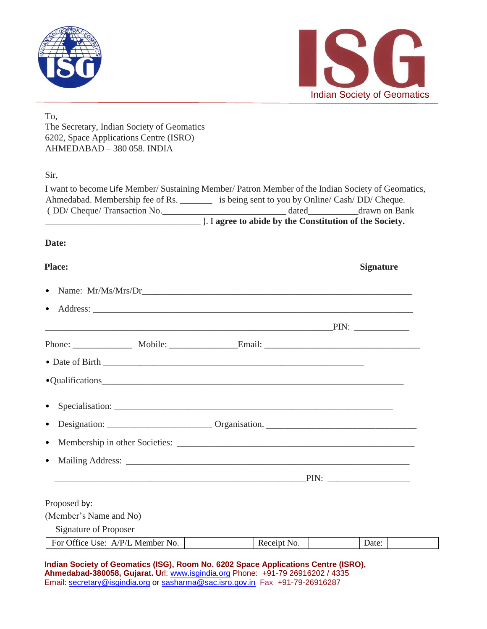



#### To,

The Secretary, Indian Society of Geomatics 6202, Space Applications Centre (ISRO) AHMEDABAD – 380 058. INDIA

Sir,

| I want to become Life Member/ Sustaining Member/ Patron Member of the Indian Society of Geomatics, |                                                  |               |  |  |
|----------------------------------------------------------------------------------------------------|--------------------------------------------------|---------------|--|--|
| Ahmedabad. Membership fee of Rs.                                                                   | is being sent to you by Online/ Cash/DD/ Cheque. |               |  |  |
| (DD/Cheque/Transaction No.                                                                         | dated                                            | drawn on Bank |  |  |
| ). I agree to abide by the Constitution of the Society.                                            |                                                  |               |  |  |

### **Date:**

# **Place: Signature** • Name: Mr/Ms/Mrs/Dr • Address: PIN: Phone: \_\_\_\_\_\_\_\_\_\_\_\_\_ Mobile: \_\_\_\_\_\_\_\_\_\_\_\_\_\_\_Email: \_\_\_\_\_\_\_\_\_\_\_\_\_\_\_\_\_\_\_\_\_\_\_\_\_\_\_\_\_\_\_\_\_\_ • Date of Birth \_\_\_\_\_\_\_\_\_\_\_\_\_\_\_\_\_\_\_\_\_\_\_\_\_\_\_\_\_\_\_\_\_\_\_\_\_\_\_\_\_\_\_\_\_\_\_\_\_\_\_\_\_\_\_\_\_ •Qualifications • Specialisation: • Designation: \_\_\_\_\_\_\_\_\_\_\_\_\_\_\_\_\_\_\_\_\_\_\_ Organisation. \_\_\_\_\_\_\_\_\_\_\_\_\_\_\_\_\_\_\_\_\_\_\_\_\_\_\_\_\_\_\_\_\_ • Membership in other Societies: \_\_\_\_\_\_\_\_\_\_\_\_\_\_\_\_\_\_\_\_\_\_\_\_\_\_\_\_\_\_\_\_\_\_\_\_\_\_\_\_\_\_\_\_\_\_\_\_\_\_\_\_ • Mailing Address: \_\_\_\_\_\_\_\_\_\_\_\_\_\_\_\_\_\_\_\_\_\_\_\_\_\_\_\_\_\_\_\_\_\_\_\_\_\_\_\_\_\_\_\_\_\_\_\_\_\_\_\_\_\_\_\_\_\_\_\_\_\_  $\text{PIN:}$ Proposed by: (Member's Name and No) Signature of Proposer For Office Use: A/P/L Member No. Receipt No. Date:

| $\Box$ TVI OTHER OSC. TVT/L INCHIBER TWO.                                           | KUULUU I VU. | Dav. |  |
|-------------------------------------------------------------------------------------|--------------|------|--|
|                                                                                     |              |      |  |
|                                                                                     |              |      |  |
| ladian Baatatu af Baamattaa (IBB). Baam Na, 2000 Buaan, Annitaattana Bantua (IBBB). |              |      |  |

**Indian Society of Geomatics (ISG), Room No. 6202 Space Applications Centre (ISRO), Ahmedabad-380058, Gujarat. U**rl: www.isgindia.org Phone: +91-79 26916202 / 4335 Email: secretary@isgindia.org or sasharma@sac.isro.gov.in Fax +91-79-26916287